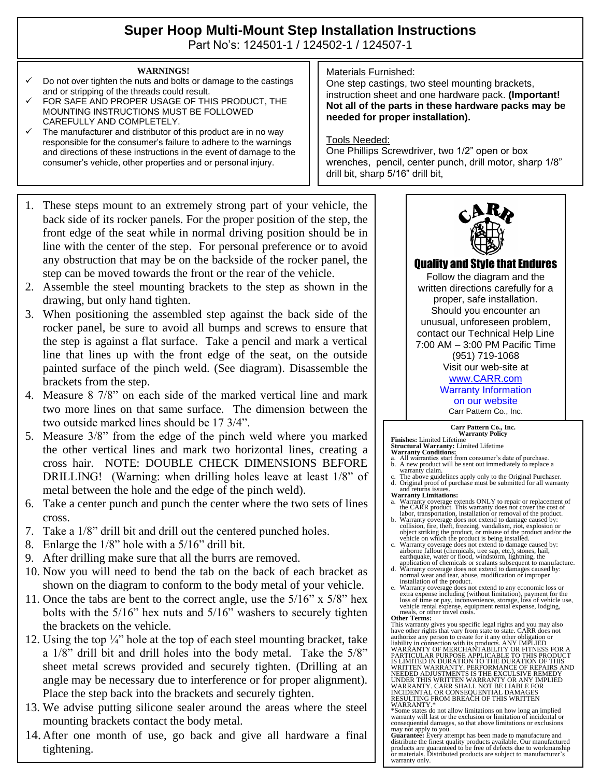# **Super Hoop Multi-Mount Step Installation Instructions**

Part No's: 124501-1 / 124502-1 / 124507-1

#### **WARNINGS!**

- Do not over tighten the nuts and bolts or damage to the castings and or stripping of the threads could result.
- FOR SAFE AND PROPER USAGE OF THIS PRODUCT, THE MOUNTING INSTRUCTIONS MUST BE FOLLOWED CAREFULLY AND COMPLETELY.
- The manufacturer and distributor of this product are in no way responsible for the consumer's failure to adhere to the warnings and directions of these instructions in the event of damage to the consumer's vehicle, other properties and or personal injury.
- 1. These steps mount to an extremely strong part of your vehicle, the back side of its rocker panels. For the proper position of the step, the front edge of the seat while in normal driving position should be in line with the center of the step. For personal preference or to avoid any obstruction that may be on the backside of the rocker panel, the step can be moved towards the front or the rear of the vehicle.
- 2. Assemble the steel mounting brackets to the step as shown in the drawing, but only hand tighten.
- 3. When positioning the assembled step against the back side of the rocker panel, be sure to avoid all bumps and screws to ensure that the step is against a flat surface. Take a pencil and mark a vertical line that lines up with the front edge of the seat, on the outside painted surface of the pinch weld. (See diagram). Disassemble the brackets from the step.
- 4. Measure 8 7/8" on each side of the marked vertical line and mark two more lines on that same surface. The dimension between the two outside marked lines should be 17 3/4".
- 5. Measure 3/8" from the edge of the pinch weld where you marked the other vertical lines and mark two horizontal lines, creating a cross hair. NOTE: DOUBLE CHECK DIMENSIONS BEFORE DRILLING! (Warning: when drilling holes leave at least 1/8" of metal between the hole and the edge of the pinch weld).
- 6. Take a center punch and punch the center where the two sets of lines cross.
- 7. Take a 1/8" drill bit and drill out the centered punched holes.
- 8. Enlarge the 1/8" hole with a 5/16" drill bit.
- 9. After drilling make sure that all the burrs are removed.
- 10. Now you will need to bend the tab on the back of each bracket as shown on the diagram to conform to the body metal of your vehicle.
- 11. Once the tabs are bent to the correct angle, use the 5/16" x 5/8" hex bolts with the 5/16" hex nuts and 5/16" washers to securely tighten the brackets on the vehicle.
- 12. Using the top  $\frac{1}{4}$  hole at the top of each steel mounting bracket, take a 1/8" drill bit and drill holes into the body metal. Take the 5/8" sheet metal screws provided and securely tighten. (Drilling at an angle may be necessary due to interference or for proper alignment). Place the step back into the brackets and securely tighten.
- 13. We advise putting silicone sealer around the areas where the steel mounting brackets contact the body metal.
- 14. After one month of use, go back and give all hardware a final tightening.

## Materials Furnished:

One step castings, two steel mounting brackets, instruction sheet and one hardware pack. **(Important! Not all of the parts in these hardware packs may be needed for proper installation).**

### Tools Needed:

One Phillips Screwdriver, two 1/2" open or box wrenches, pencil, center punch, drill motor, sharp 1/8" drill bit, sharp 5/16" drill bit,



# Quality and Style that Endures

Follow the diagram and the written directions carefully for a proper, safe installation. Should you encounter an unusual, unforeseen problem, contact our Technical Help Line 7:00 AM – 3:00 PM Pacific Time (951) 719-1068 Visit our web-site at [www.CARR.com](http://www.carr.com/)

# Warranty Information

on our website Carr Pattern Co., Inc.

#### **Carr Pattern Co., Inc. Warranty Policy**

**Finishes:** Limited Lifetime **Structural Warranty:** Limited Lifetime

- **Warranty Conditions:** a. All warranties start from consumer's date of purchase. b. A new product will be sent out immediately to replace a
- warranty claim. c. The above guidelines apply only to the Original Purchaser. d. Original proof of purchase must be submitted for all warranty
- and returns issues. **Warranty Limitations:**
- a. Warranty coverage extends ONLY to repair or replacement of the CARR product. This warranty does not cover the cost of labor, transportation, installation or removal of the product.
- 
- b. Warranty coverage does not extend to damage caused by:<br>collision, frie, theft, freezing, vandalism, riot, explosion or<br>object striking the product, or misuse of the product and/or the<br>vehicle on which the product is bei
- d. Warranty coverage does not extend to damages caused by: normal wear and tear, abuse, modification or improper installation of the product.
- e. Warranty coverage does not extend to any economic loss or<br>extra expense including (without limitation), payment for the<br>loss of time or pay, inconvenience, storage, loss of vehicle use,<br>vehicle rental expense, equipment **Other Terms:**

This warranty gives you specific legal rights and you may also have other rights that vary from state to state. CARR does not authorize any person to create for it any other obligation or<br>liability in connection with its products. ANY IMPLIED<br>WARRANTY OF MERCHANTABILITY OR FITNESS FOR A<br>PARTICULAR PURPOSE APPLICABLE TO THIS PRODUCT<br>IS LIMITED IN NEEDED ADJUSTMENTS IS THE EXCULSIVE REMEDY<br>UNDER THIS WRITTEN WARRANTY OR ANY IMPLIED<br>WARRANTY. CARR SHALL NOT BE LIABLE FOR<br>INCIDENTAL OR CONSEQUENTIAL DAMAGES<br>INCIDENTAL OR CONSEQUENTIAL DAMAGES<br>RESULTING FROM BREACH OF

WARRANTY.\* \*Some states do not allow limitations on how long an implied warranty will last or the exclusion or limitation of incidental or consequential damages, so that above limitations or exclusions may not apply to you. **Guarantee:** Every attempt has been made to manufacture and

distribute the finest quality products available. Our manufactured products are guaranteed to be free of defects due to workmanship or materials. Distributed products are subject to manufacturer's warranty only.